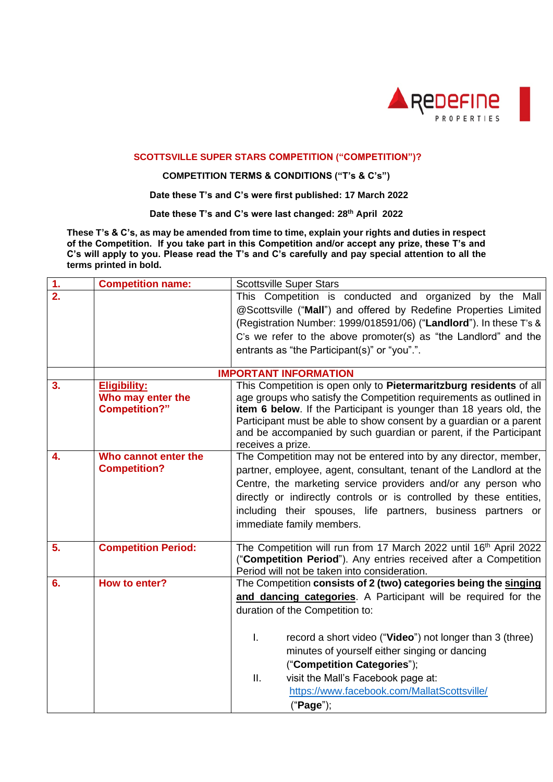

## **SCOTTSVILLE SUPER STARS COMPETITION ("COMPETITION")?**

## **COMPETITION TERMS & CONDITIONS ("T's & C's")**

 **Date these T's and C's were first published: 17 March 2022**

**Date these T's and C's were last changed: 28 th April 2022**

**These T's & C's, as may be amended from time to time, explain your rights and duties in respect of the Competition. If you take part in this Competition and/or accept any prize, these T's and C's will apply to you. Please read the T's and C's carefully and pay special attention to all the terms printed in bold.**

| 1.               | <b>Competition name:</b>     | <b>Scottsville Super Stars</b>                                                         |  |  |  |  |
|------------------|------------------------------|----------------------------------------------------------------------------------------|--|--|--|--|
| $\overline{2}$ . |                              | This Competition is conducted and organized by the Mall                                |  |  |  |  |
|                  |                              | @Scottsville ("Mall") and offered by Redefine Properties Limited                       |  |  |  |  |
|                  |                              | (Registration Number: 1999/018591/06) ("Landlord"). In these T's &                     |  |  |  |  |
|                  |                              | C's we refer to the above promoter(s) as "the Landlord" and the                        |  |  |  |  |
|                  |                              | entrants as "the Participant(s)" or "you".".                                           |  |  |  |  |
|                  | <b>IMPORTANT INFORMATION</b> |                                                                                        |  |  |  |  |
| 3.               | <b>Eligibility:</b>          | This Competition is open only to Pietermaritzburg residents of all                     |  |  |  |  |
|                  | Who may enter the            | age groups who satisfy the Competition requirements as outlined in                     |  |  |  |  |
|                  | <b>Competition?"</b>         | item 6 below. If the Participant is younger than 18 years old, the                     |  |  |  |  |
|                  |                              | Participant must be able to show consent by a guardian or a parent                     |  |  |  |  |
|                  |                              | and be accompanied by such guardian or parent, if the Participant<br>receives a prize. |  |  |  |  |
| 4.               | Who cannot enter the         | The Competition may not be entered into by any director, member,                       |  |  |  |  |
|                  | <b>Competition?</b>          | partner, employee, agent, consultant, tenant of the Landlord at the                    |  |  |  |  |
|                  |                              | Centre, the marketing service providers and/or any person who                          |  |  |  |  |
|                  |                              | directly or indirectly controls or is controlled by these entities,                    |  |  |  |  |
|                  |                              | including their spouses, life partners, business partners or                           |  |  |  |  |
|                  |                              | immediate family members.                                                              |  |  |  |  |
|                  |                              |                                                                                        |  |  |  |  |
| 5.               | <b>Competition Period:</b>   | The Competition will run from 17 March 2022 until 16 <sup>th</sup> April 2022          |  |  |  |  |
|                  |                              | ("Competition Period"). Any entries received after a Competition                       |  |  |  |  |
|                  |                              | Period will not be taken into consideration.                                           |  |  |  |  |
| 6.               | How to enter?                | The Competition consists of 2 (two) categories being the singing                       |  |  |  |  |
|                  |                              | and dancing categories. A Participant will be required for the                         |  |  |  |  |
|                  |                              | duration of the Competition to:                                                        |  |  |  |  |
|                  |                              |                                                                                        |  |  |  |  |
|                  |                              | I.<br>record a short video ("Video") not longer than 3 (three)                         |  |  |  |  |
|                  |                              | minutes of yourself either singing or dancing                                          |  |  |  |  |
|                  |                              | ("Competition Categories");                                                            |  |  |  |  |
|                  |                              | visit the Mall's Facebook page at:<br>ΙΙ.                                              |  |  |  |  |
|                  |                              | https://www.facebook.com/MallatScottsville/                                            |  |  |  |  |
|                  |                              | ("Page");                                                                              |  |  |  |  |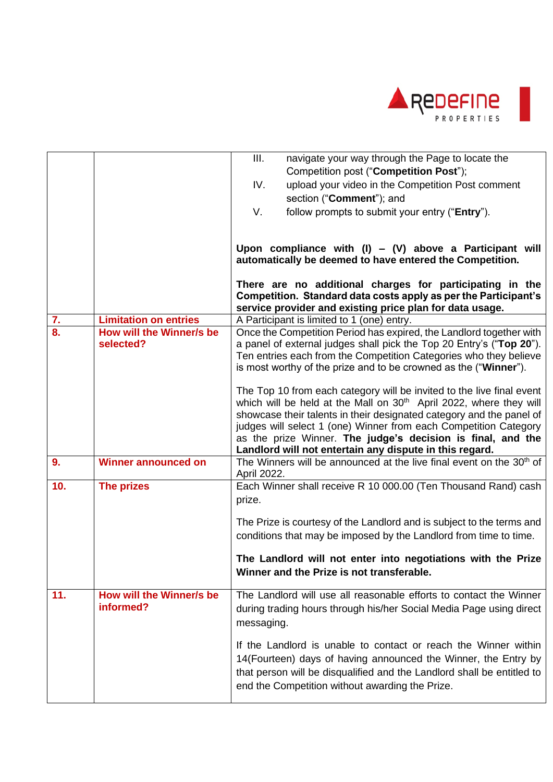

|               |                                       | III.<br>navigate your way through the Page to locate the<br>Competition post ("Competition Post");<br>IV.<br>upload your video in the Competition Post comment                                                                                                                                                                                                                                                                |
|---------------|---------------------------------------|-------------------------------------------------------------------------------------------------------------------------------------------------------------------------------------------------------------------------------------------------------------------------------------------------------------------------------------------------------------------------------------------------------------------------------|
|               |                                       | section ("Comment"); and                                                                                                                                                                                                                                                                                                                                                                                                      |
|               |                                       | V.<br>follow prompts to submit your entry ("Entry").                                                                                                                                                                                                                                                                                                                                                                          |
|               |                                       |                                                                                                                                                                                                                                                                                                                                                                                                                               |
|               |                                       | Upon compliance with $(I) - (V)$ above a Participant will<br>automatically be deemed to have entered the Competition.                                                                                                                                                                                                                                                                                                         |
|               |                                       | There are no additional charges for participating in the<br>Competition. Standard data costs apply as per the Participant's<br>service provider and existing price plan for data usage.                                                                                                                                                                                                                                       |
| $\frac{7}{8}$ | <b>Limitation on entries</b>          | A Participant is limited to 1 (one) entry.                                                                                                                                                                                                                                                                                                                                                                                    |
|               | How will the Winner/s be<br>selected? | Once the Competition Period has expired, the Landlord together with<br>a panel of external judges shall pick the Top 20 Entry's ("Top 20").<br>Ten entries each from the Competition Categories who they believe<br>is most worthy of the prize and to be crowned as the ("Winner").                                                                                                                                          |
|               |                                       | The Top 10 from each category will be invited to the live final event<br>which will be held at the Mall on 30 <sup>th</sup> April 2022, where they will<br>showcase their talents in their designated category and the panel of<br>judges will select 1 (one) Winner from each Competition Category<br>as the prize Winner. The judge's decision is final, and the<br>Landlord will not entertain any dispute in this regard. |
| 9.            | <b>Winner announced on</b>            | The Winners will be announced at the live final event on the 30 <sup>th</sup> of<br>April 2022.                                                                                                                                                                                                                                                                                                                               |
| 10.           | The prizes                            | Each Winner shall receive R 10 000.00 (Ten Thousand Rand) cash<br>prize.                                                                                                                                                                                                                                                                                                                                                      |
|               |                                       | The Prize is courtesy of the Landlord and is subject to the terms and<br>conditions that may be imposed by the Landlord from time to time.                                                                                                                                                                                                                                                                                    |
|               |                                       | The Landlord will not enter into negotiations with the Prize<br>Winner and the Prize is not transferable.                                                                                                                                                                                                                                                                                                                     |
| 11.           | How will the Winner/s be<br>informed? | The Landlord will use all reasonable efforts to contact the Winner<br>during trading hours through his/her Social Media Page using direct<br>messaging.                                                                                                                                                                                                                                                                       |
|               |                                       | If the Landlord is unable to contact or reach the Winner within<br>14(Fourteen) days of having announced the Winner, the Entry by<br>that person will be disqualified and the Landlord shall be entitled to<br>end the Competition without awarding the Prize.                                                                                                                                                                |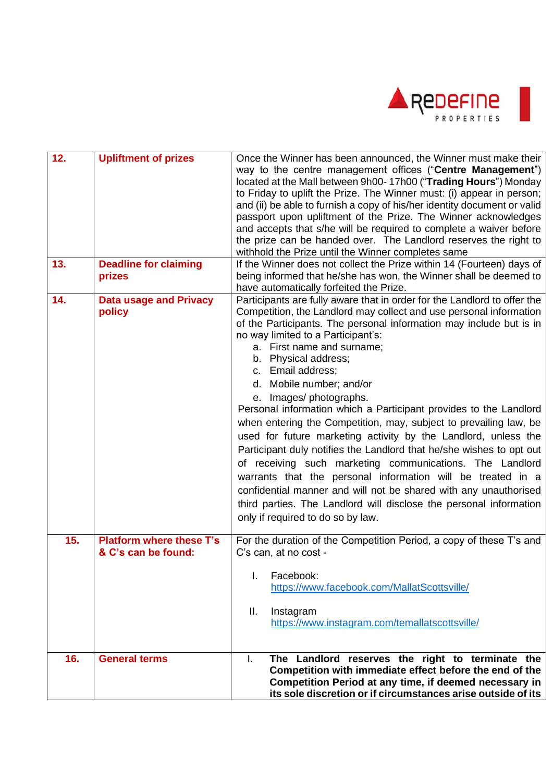

| 12. | <b>Upliftment of prizes</b>                            | Once the Winner has been announced, the Winner must make their<br>way to the centre management offices ("Centre Management")<br>located at the Mall between 9h00-17h00 ("Trading Hours") Monday<br>to Friday to uplift the Prize. The Winner must: (i) appear in person;<br>and (ii) be able to furnish a copy of his/her identity document or valid<br>passport upon upliftment of the Prize. The Winner acknowledges<br>and accepts that s/he will be required to complete a waiver before<br>the prize can be handed over. The Landlord reserves the right to<br>withhold the Prize until the Winner completes same                                                                                                                                                                                                                                                                                                                                                                     |
|-----|--------------------------------------------------------|--------------------------------------------------------------------------------------------------------------------------------------------------------------------------------------------------------------------------------------------------------------------------------------------------------------------------------------------------------------------------------------------------------------------------------------------------------------------------------------------------------------------------------------------------------------------------------------------------------------------------------------------------------------------------------------------------------------------------------------------------------------------------------------------------------------------------------------------------------------------------------------------------------------------------------------------------------------------------------------------|
| 13. | <b>Deadline for claiming</b><br>prizes                 | If the Winner does not collect the Prize within 14 (Fourteen) days of<br>being informed that he/she has won, the Winner shall be deemed to<br>have automatically forfeited the Prize.                                                                                                                                                                                                                                                                                                                                                                                                                                                                                                                                                                                                                                                                                                                                                                                                      |
| 14. | <b>Data usage and Privacy</b><br>policy                | Participants are fully aware that in order for the Landlord to offer the<br>Competition, the Landlord may collect and use personal information<br>of the Participants. The personal information may include but is in<br>no way limited to a Participant's:<br>a. First name and surname;<br>b. Physical address;<br>c. Email address;<br>d. Mobile number; and/or<br>e. Images/photographs.<br>Personal information which a Participant provides to the Landlord<br>when entering the Competition, may, subject to prevailing law, be<br>used for future marketing activity by the Landlord, unless the<br>Participant duly notifies the Landlord that he/she wishes to opt out<br>of receiving such marketing communications. The Landlord<br>warrants that the personal information will be treated in a<br>confidential manner and will not be shared with any unauthorised<br>third parties. The Landlord will disclose the personal information<br>only if required to do so by law. |
| 15. | <b>Platform where these T's</b><br>& C's can be found: | For the duration of the Competition Period, a copy of these T's and<br>C's can, at no cost -<br>Facebook:<br>L.<br>https://www.facebook.com/MallatScottsville/                                                                                                                                                                                                                                                                                                                                                                                                                                                                                                                                                                                                                                                                                                                                                                                                                             |
|     |                                                        | Ш.<br>Instagram<br>https://www.instagram.com/temallatscottsville/                                                                                                                                                                                                                                                                                                                                                                                                                                                                                                                                                                                                                                                                                                                                                                                                                                                                                                                          |
| 16. | <b>General terms</b>                                   | I.<br>The Landlord reserves the right to terminate the<br>Competition with immediate effect before the end of the<br>Competition Period at any time, if deemed necessary in<br>its sole discretion or if circumstances arise outside of its                                                                                                                                                                                                                                                                                                                                                                                                                                                                                                                                                                                                                                                                                                                                                |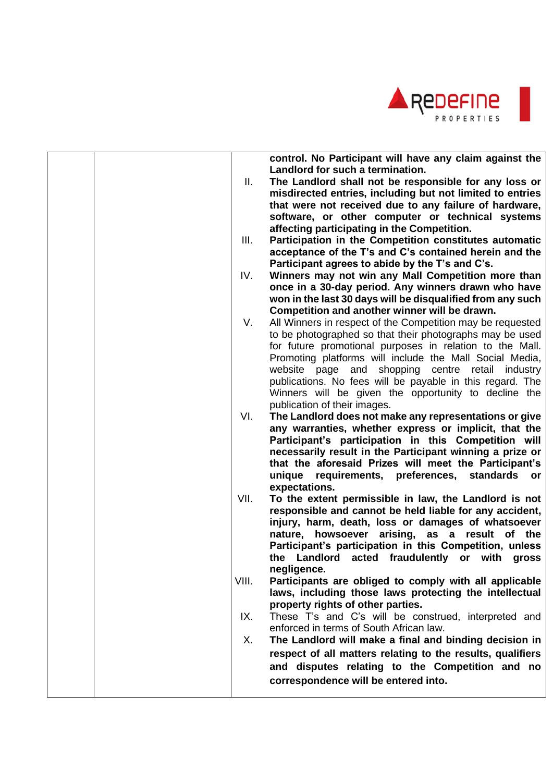

|  |       | control. No Participant will have any claim against the<br>Landlord for such a termination.                            |
|--|-------|------------------------------------------------------------------------------------------------------------------------|
|  | Ш.    | The Landlord shall not be responsible for any loss or                                                                  |
|  |       | misdirected entries, including but not limited to entries                                                              |
|  |       | that were not received due to any failure of hardware,                                                                 |
|  |       | software, or other computer or technical systems                                                                       |
|  |       | affecting participating in the Competition.                                                                            |
|  | III.  | Participation in the Competition constitutes automatic                                                                 |
|  |       | acceptance of the T's and C's contained herein and the                                                                 |
|  |       | Participant agrees to abide by the T's and C's.                                                                        |
|  | IV.   | Winners may not win any Mall Competition more than                                                                     |
|  |       | once in a 30-day period. Any winners drawn who have                                                                    |
|  |       | won in the last 30 days will be disqualified from any such                                                             |
|  |       | Competition and another winner will be drawn.                                                                          |
|  | V.    |                                                                                                                        |
|  |       | All Winners in respect of the Competition may be requested<br>to be photographed so that their photographs may be used |
|  |       | for future promotional purposes in relation to the Mall.                                                               |
|  |       | Promoting platforms will include the Mall Social Media,                                                                |
|  |       | website page and shopping centre retail industry                                                                       |
|  |       | publications. No fees will be payable in this regard. The                                                              |
|  |       | Winners will be given the opportunity to decline the                                                                   |
|  |       | publication of their images.                                                                                           |
|  | VI.   | The Landlord does not make any representations or give                                                                 |
|  |       | any warranties, whether express or implicit, that the                                                                  |
|  |       | Participant's participation in this Competition will                                                                   |
|  |       | necessarily result in the Participant winning a prize or                                                               |
|  |       | that the aforesaid Prizes will meet the Participant's                                                                  |
|  |       | unique requirements, preferences, standards<br>or.                                                                     |
|  |       | expectations.                                                                                                          |
|  | VII.  | To the extent permissible in law, the Landlord is not                                                                  |
|  |       | responsible and cannot be held liable for any accident,                                                                |
|  |       | injury, harm, death, loss or damages of whatsoever                                                                     |
|  |       | nature, howsoever arising, as a result of the                                                                          |
|  |       | Participant's participation in this Competition, unless                                                                |
|  |       | the Landlord acted fraudulently or with gross                                                                          |
|  |       | negligence.                                                                                                            |
|  | VIII. | Participants are obliged to comply with all applicable                                                                 |
|  |       | laws, including those laws protecting the intellectual                                                                 |
|  |       | property rights of other parties.                                                                                      |
|  | IX.   | These T's and C's will be construed, interpreted and                                                                   |
|  |       | enforced in terms of South African law.                                                                                |
|  | Х.    | The Landlord will make a final and binding decision in                                                                 |
|  |       |                                                                                                                        |
|  |       | respect of all matters relating to the results, qualifiers                                                             |
|  |       | and disputes relating to the Competition and no                                                                        |
|  |       | correspondence will be entered into.                                                                                   |
|  |       |                                                                                                                        |